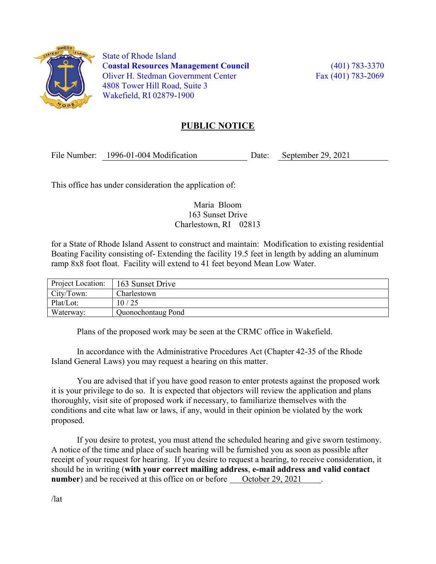

 State of Rhode Island Coastal Resources Management Council (401) 783-3370 Oliver H. Stedman Government Center Fax (401) 783-2069 4808 Tower Hill Road, Suite 3 Wakefield, RI 02879-1900

## PUBLIC NOTICE

File Number: 1996-01-004 Modification Date: September 29, 2021

This office has under consideration the application of:

### Maria Bloom 163 Sunset Drive Charlestown, RI 02813

for a State of Rhode Island Assent to construct and maintain: Modification to existing residential Boating Facility consisting of- Extending the facility 19.5 feet in length by adding an aluminum ramp 8x8 foot float. Facility will extend to 41 feet beyond Mean Low Water.

| Project Location: | 163 Sunset Drive   |  |
|-------------------|--------------------|--|
| City/Town:        | Charlestown        |  |
| Plat/Lot:         | 10/25              |  |
| Waterway:         | Quonochontaug Pond |  |

Plans of the proposed work may be seen at the CRMC office in Wakefield.

In accordance with the Administrative Procedures Act (Chapter 42-35 of the Rhode Island General Laws) you may request a hearing on this matter.

You are advised that if you have good reason to enter protests against the proposed work it is your privilege to do so. It is expected that objectors will review the application and plans thoroughly, visit site of proposed work if necessary, to familiarize themselves with the conditions and cite what law or laws, if any, would in their opinion be violated by the work proposed.

If you desire to protest, you must attend the scheduled hearing and give sworn testimony. A notice of the time and place of such hearing will be furnished you as soon as possible after receipt of your request for hearing. If you desire to request a hearing, to receive consideration, it should be in writing (with your correct mailing address, e-mail address and valid contact number) and be received at this office on or before October 29, 2021